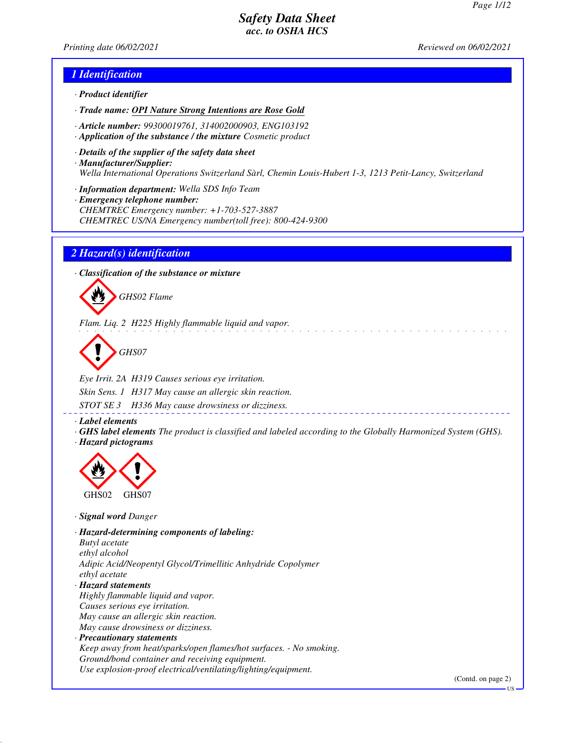*Printing date 06/02/2021 Reviewed on 06/02/2021*

### *1 Identification*

- *· Product identifier*
- *· Trade name: OPI Nature Strong Intentions are Rose Gold*
- *· Article number: 99300019761, 314002000903, ENG103192*
- *· Application of the substance / the mixture Cosmetic product*
- *· Details of the supplier of the safety data sheet · Manufacturer/Supplier: Wella International Operations Switzerland Sàrl, Chemin Louis-Hubert 1-3, 1213 Petit-Lancy, Switzerland*
- *· Information department: Wella SDS Info Team*
- *· Emergency telephone number: CHEMTREC Emergency number: +1-703-527-3887 CHEMTREC US/NA Emergency number(toll free): 800-424-9300*

#### *2 Hazard(s) identification*

*· Classification of the substance or mixture*



*Flam. Liq. 2 H225 Highly flammable liquid and vapor.*

*GHS07*

*Eye Irrit. 2A H319 Causes serious eye irritation. Skin Sens. 1 H317 May cause an allergic skin reaction. STOT SE 3 H336 May cause drowsiness or dizziness.*

*· Label elements*

*· GHS label elements The product is classified and labeled according to the Globally Harmonized System (GHS). · Hazard pictograms*



*· Signal word Danger*

*· Hazard-determining components of labeling: Butyl acetate ethyl alcohol Adipic Acid/Neopentyl Glycol/Trimellitic Anhydride Copolymer ethyl acetate · Hazard statements Highly flammable liquid and vapor. Causes serious eye irritation. May cause an allergic skin reaction. May cause drowsiness or dizziness. · Precautionary statements*

*Keep away from heat/sparks/open flames/hot surfaces. - No smoking. Ground/bond container and receiving equipment. Use explosion-proof electrical/ventilating/lighting/equipment.*

(Contd. on page 2)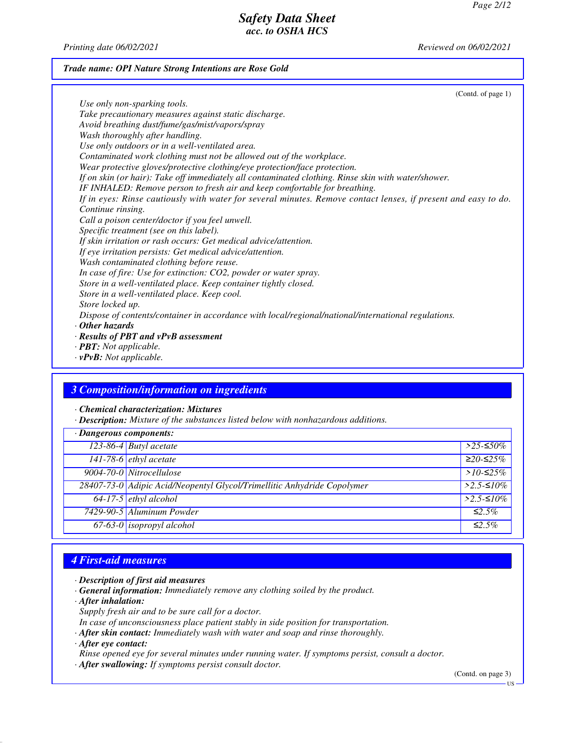*Printing date 06/02/2021 Reviewed on 06/02/2021*

#### *Trade name: OPI Nature Strong Intentions are Rose Gold*

(Contd. of page 1) *Use only non-sparking tools. Take precautionary measures against static discharge. Avoid breathing dust/fume/gas/mist/vapors/spray Wash thoroughly after handling. Use only outdoors or in a well-ventilated area. Contaminated work clothing must not be allowed out of the workplace. Wear protective gloves/protective clothing/eye protection/face protection. If on skin (or hair): Take off immediately all contaminated clothing. Rinse skin with water/shower. IF INHALED: Remove person to fresh air and keep comfortable for breathing. If in eyes: Rinse cautiously with water for several minutes. Remove contact lenses, if present and easy to do. Continue rinsing. Call a poison center/doctor if you feel unwell. Specific treatment (see on this label). If skin irritation or rash occurs: Get medical advice/attention. If eye irritation persists: Get medical advice/attention. Wash contaminated clothing before reuse. In case of fire: Use for extinction: CO2, powder or water spray. Store in a well-ventilated place. Keep container tightly closed. Store in a well-ventilated place. Keep cool. Store locked up. Dispose of contents/container in accordance with local/regional/national/international regulations. · Other hazards · Results of PBT and vPvB assessment · PBT: Not applicable.*

*· vPvB: Not applicable.*

### *3 Composition/information on ingredients*

*· Chemical characterization: Mixtures*

*· Description: Mixture of the substances listed below with nonhazardous additions.*

| · Dangerous components:                                                 |                                                                                                                                              |
|-------------------------------------------------------------------------|----------------------------------------------------------------------------------------------------------------------------------------------|
|                                                                         | $>$ 25-≤50%                                                                                                                                  |
|                                                                         | $≥20-≤25%$                                                                                                                                   |
| 9004-70-0 Nitrocellulose                                                | $>10-525\%$                                                                                                                                  |
| 28407-73-0 Adipic Acid/Neopentyl Glycol/Trimellitic Anhydride Copolymer | $>2.5-10\%$                                                                                                                                  |
|                                                                         | $>2.5 - 510\%$                                                                                                                               |
|                                                                         | $\leq 2.5\%$                                                                                                                                 |
|                                                                         | $\leq 2.5\%$                                                                                                                                 |
|                                                                         | 123-86-4 Butyl acetate<br>141-78-6 ethyl acetate<br>$64-17-5$ ethyl alcohol<br>7429-90-5 Aluminum Powder<br>67-63-0 <i>isopropyl alcohol</i> |

## *4 First-aid measures*

*· Description of first aid measures*

- *· General information: Immediately remove any clothing soiled by the product.*
- *· After inhalation:*
- *Supply fresh air and to be sure call for a doctor.*

*In case of unconsciousness place patient stably in side position for transportation.*

- *· After skin contact: Immediately wash with water and soap and rinse thoroughly.*
- *· After eye contact:*
- *Rinse opened eye for several minutes under running water. If symptoms persist, consult a doctor.*
- *· After swallowing: If symptoms persist consult doctor.*

(Contd. on page 3)

US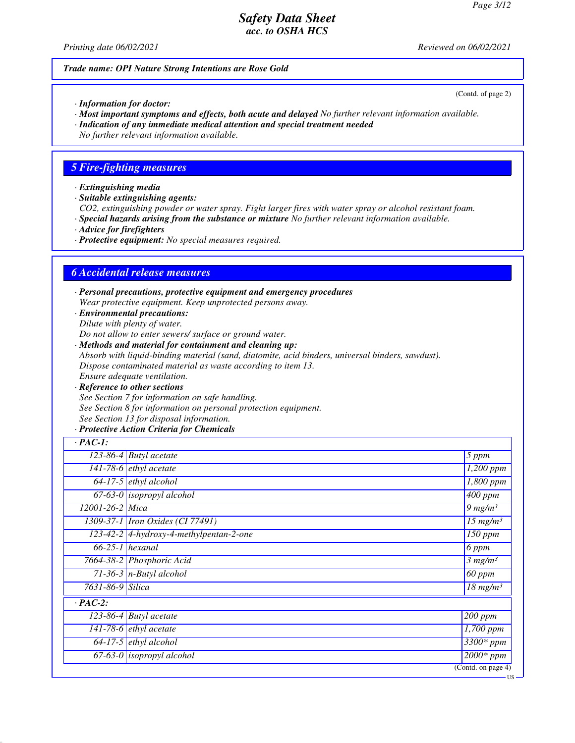*Printing date 06/02/2021 Reviewed on 06/02/2021*

#### *Trade name: OPI Nature Strong Intentions are Rose Gold*

*· Information for doctor:*

- *· Most important symptoms and effects, both acute and delayed No further relevant information available.*
- *· Indication of any immediate medical attention and special treatment needed*

*No further relevant information available.*

### *5 Fire-fighting measures*

- *· Extinguishing media*
- *· Suitable extinguishing agents:*

*CO2, extinguishing powder or water spray. Fight larger fires with water spray or alcohol resistant foam.*

- *· Special hazards arising from the substance or mixture No further relevant information available.*
- *· Advice for firefighters*
- *· Protective equipment: No special measures required.*

## *6 Accidental release measures*

*· Personal precautions, protective equipment and emergency procedures Wear protective equipment. Keep unprotected persons away.*

*· Environmental precautions: Dilute with plenty of water.*

*Do not allow to enter sewers/ surface or ground water.*

- *· Methods and material for containment and cleaning up: Absorb with liquid-binding material (sand, diatomite, acid binders, universal binders, sawdust). Dispose contaminated material as waste according to item 13. Ensure adequate ventilation.*
- *· Reference to other sections See Section 7 for information on safe handling. See Section 8 for information on personal protection equipment. See Section 13 for disposal information.*

#### *· Protective Action Criteria for Chemicals*

| $\cdot$ PAC-1:   |                                         |                                   |
|------------------|-----------------------------------------|-----------------------------------|
|                  | $123-86-4$ Butyl acetate                | $5$ ppm                           |
|                  | 141-78-6 $ethyl$ acetate                | $\overline{1,200}$ ppm            |
|                  | $64-17-5$ ethyl alcohol                 | 1,800 ppm                         |
|                  | $67-63-0$ isopropyl alcohol             | $\sqrt{400}$ ppm                  |
| 12001-26-2 Mica  |                                         | $9$ mg/m <sup>3</sup>             |
|                  | 1309-37-1 <i>Iron Oxides</i> (CI 77491) | $\overline{15 \ m}g/m^3$          |
|                  | 123-42-2 4-hydroxy-4-methylpentan-2-one | $150$ ppm                         |
|                  | $66-25-1$ hexanal                       | 6 ppm                             |
|                  | 7664-38-2 Phosphoric Acid               | 3 mg/m <sup>3</sup>               |
|                  | $\overline{71-36-3}$ n-Butyl alcohol    | $\overline{60}$ ppm               |
| 7631-86-9 Silica |                                         | $\overline{18}$ mg/m <sup>3</sup> |
| $\cdot$ PAC-2:   |                                         |                                   |
|                  | $\overline{123}$ -86-4 Butyl acetate    | $\sqrt{200}$ ppm                  |
|                  | 141-78-6 $ethyl$ acetate                | $\overline{1,}700$ ppm            |
|                  | $64-17-5$ ethyl alcohol                 | $3300*$ ppm                       |
|                  | $67-63-0$ isopropyl alcohol             | $2000*ppm$                        |
|                  |                                         | $\overline{(Contd. on page 4)}$   |

(Contd. of page 2)

US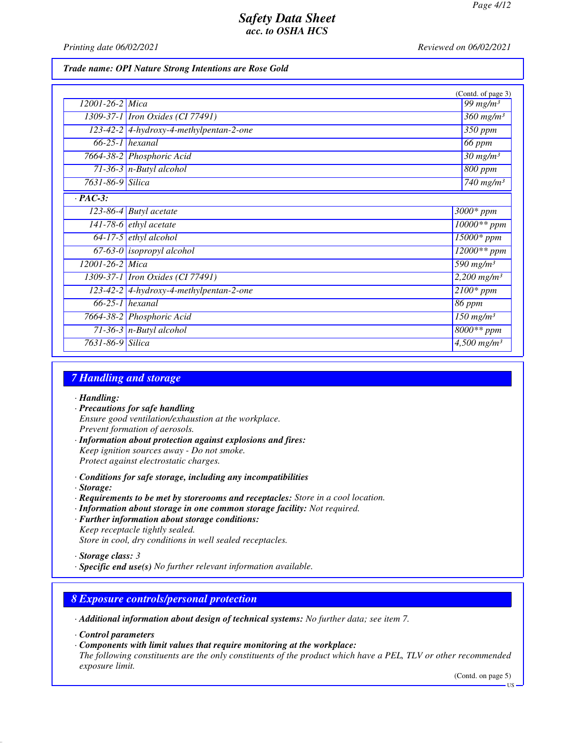*Printing date 06/02/2021 Reviewed on 06/02/2021*

#### *Trade name: OPI Nature Strong Intentions are Rose Gold*

|                  |                                           | (Contd. of page 3)                   |
|------------------|-------------------------------------------|--------------------------------------|
| 12001-26-2 Mica  |                                           | 99 mg/m $3$                          |
|                  | 1309-37-1 <i>Iron Oxides</i> (CI 77491)   | $\frac{360}{mg/m^3}$                 |
|                  | 123-42-2 4-hydroxy-4-methylpentan-2-one   | $\overline{3}50$ ppm                 |
|                  | $66-25-1$ hexanal                         | 66 ppm                               |
|                  | 7664-38-2 Phosphoric Acid                 | $\frac{30 \text{ mg}}{m^3}$          |
|                  | $71-36-3$ n-Butyl alcohol                 | $800$ ppm                            |
| 7631-86-9 Silica |                                           | $\overline{740}$ mg/m <sup>3</sup>   |
| $\cdot$ PAC-3:   |                                           |                                      |
|                  | $\overline{123}$ -86-4 Butyl acetate      | $3000*$ ppm                          |
|                  | $141-78-6$ ethyl acetate                  | 10000** ppm                          |
|                  | $64-17-5$ ethyl alcohol                   | $15000*$ ppm                         |
|                  | $67-63-0$ isopropyl alcohol               | $12000**$ ppm                        |
| 12001-26-2 Mica  |                                           | $\frac{590}{mg/m^3}$                 |
|                  | 1309-37-1 <i>Iron Oxides</i> (CI 77491)   | $2,200$ mg/m <sup>3</sup>            |
|                  | $123-42-2$ 4-hydroxy-4-methylpentan-2-one | $2100*$ ppm                          |
|                  | $66-25-1$ hexanal                         | 86 ppm                               |
|                  | 7664-38-2 Phosphoric Acid                 | $150$ mg/m <sup>3</sup>              |
|                  | 71-36-3 $n$ -Butyl alcohol                | $8000**$ ppm                         |
| 7631-86-9 Silica |                                           | $\overline{4,500}$ mg/m <sup>3</sup> |

### *7 Handling and storage*

- *· Handling:*
- *· Precautions for safe handling Ensure good ventilation/exhaustion at the workplace. Prevent formation of aerosols.*
- *· Information about protection against explosions and fires: Keep ignition sources away - Do not smoke. Protect against electrostatic charges.*
- *· Conditions for safe storage, including any incompatibilities*
- *· Storage:*
- *· Requirements to be met by storerooms and receptacles: Store in a cool location.*
- *· Information about storage in one common storage facility: Not required.*
- *· Further information about storage conditions: Keep receptacle tightly sealed. Store in cool, dry conditions in well sealed receptacles.*

*· Specific end use(s) No further relevant information available.*

## *8 Exposure controls/personal protection*

- *· Additional information about design of technical systems: No further data; see item 7.*
- *· Control parameters*
- *· Components with limit values that require monitoring at the workplace:*

*The following constituents are the only constituents of the product which have a PEL, TLV or other recommended exposure limit.*

(Contd. on page 5)

*<sup>·</sup> Storage class: 3* 

US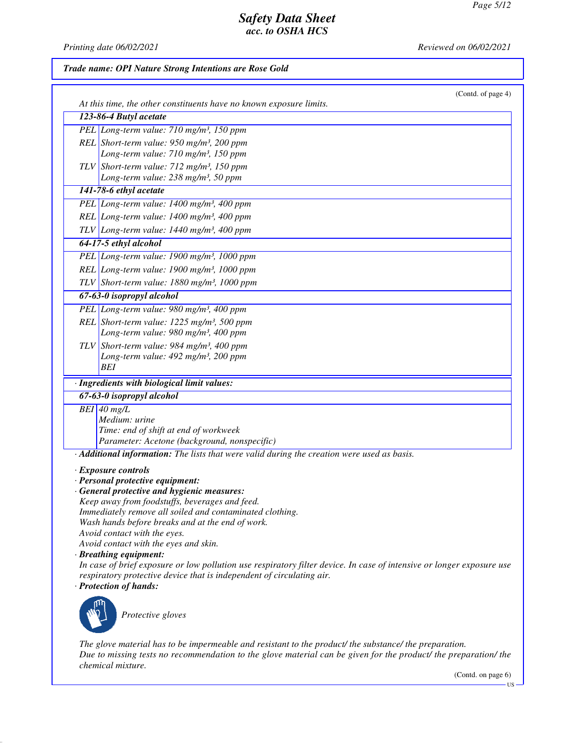*Printing date 06/02/2021 Reviewed on 06/02/2021*

#### *Trade name: OPI Nature Strong Intentions are Rose Gold*

| At this time, the other constituents have no known exposure limits.                                                                                                                                                                                                                                                                                                                                                                                                                                                                                                                                     | (Contd. of page 4) |
|---------------------------------------------------------------------------------------------------------------------------------------------------------------------------------------------------------------------------------------------------------------------------------------------------------------------------------------------------------------------------------------------------------------------------------------------------------------------------------------------------------------------------------------------------------------------------------------------------------|--------------------|
| 123-86-4 Butyl acetate                                                                                                                                                                                                                                                                                                                                                                                                                                                                                                                                                                                  |                    |
| PEL Long-term value: 710 mg/m <sup>3</sup> , 150 ppm                                                                                                                                                                                                                                                                                                                                                                                                                                                                                                                                                    |                    |
| REL Short-term value: $950$ mg/m <sup>3</sup> , 200 ppm                                                                                                                                                                                                                                                                                                                                                                                                                                                                                                                                                 |                    |
| Long-term value: 710 mg/m <sup>3</sup> , 150 ppm                                                                                                                                                                                                                                                                                                                                                                                                                                                                                                                                                        |                    |
| TLV Short-term value: $712$ mg/m <sup>3</sup> , 150 ppm                                                                                                                                                                                                                                                                                                                                                                                                                                                                                                                                                 |                    |
| Long-term value: 238 mg/m <sup>3</sup> , 50 ppm                                                                                                                                                                                                                                                                                                                                                                                                                                                                                                                                                         |                    |
| 141-78-6 ethyl acetate                                                                                                                                                                                                                                                                                                                                                                                                                                                                                                                                                                                  |                    |
| PEL Long-term value: 1400 mg/m <sup>3</sup> , 400 ppm                                                                                                                                                                                                                                                                                                                                                                                                                                                                                                                                                   |                    |
| REL Long-term value: 1400 mg/m <sup>3</sup> , 400 ppm                                                                                                                                                                                                                                                                                                                                                                                                                                                                                                                                                   |                    |
| TLV Long-term value: $1440$ mg/m <sup>3</sup> , 400 ppm                                                                                                                                                                                                                                                                                                                                                                                                                                                                                                                                                 |                    |
| 64-17-5 ethyl alcohol                                                                                                                                                                                                                                                                                                                                                                                                                                                                                                                                                                                   |                    |
| PEL Long-term value: 1900 mg/m <sup>3</sup> , 1000 ppm                                                                                                                                                                                                                                                                                                                                                                                                                                                                                                                                                  |                    |
| REL Long-term value: 1900 mg/m <sup>3</sup> , 1000 ppm                                                                                                                                                                                                                                                                                                                                                                                                                                                                                                                                                  |                    |
| TLV Short-term value: 1880 mg/m <sup>3</sup> , 1000 ppm                                                                                                                                                                                                                                                                                                                                                                                                                                                                                                                                                 |                    |
| 67-63-0 isopropyl alcohol                                                                                                                                                                                                                                                                                                                                                                                                                                                                                                                                                                               |                    |
| PEL Long-term value: 980 mg/m <sup>3</sup> , 400 ppm                                                                                                                                                                                                                                                                                                                                                                                                                                                                                                                                                    |                    |
| REL Short-term value: 1225 mg/m <sup>3</sup> , 500 ppm                                                                                                                                                                                                                                                                                                                                                                                                                                                                                                                                                  |                    |
| Long-term value: 980 mg/m <sup>3</sup> , 400 ppm                                                                                                                                                                                                                                                                                                                                                                                                                                                                                                                                                        |                    |
| TLV Short-term value: 984 mg/m <sup>3</sup> , 400 ppm                                                                                                                                                                                                                                                                                                                                                                                                                                                                                                                                                   |                    |
| Long-term value: 492 mg/m <sup>3</sup> , 200 ppm<br><b>BEI</b>                                                                                                                                                                                                                                                                                                                                                                                                                                                                                                                                          |                    |
|                                                                                                                                                                                                                                                                                                                                                                                                                                                                                                                                                                                                         |                    |
| · Ingredients with biological limit values:                                                                                                                                                                                                                                                                                                                                                                                                                                                                                                                                                             |                    |
| 67-63-0 isopropyl alcohol                                                                                                                                                                                                                                                                                                                                                                                                                                                                                                                                                                               |                    |
| $BEI$ 40 mg/L<br>Medium: urine                                                                                                                                                                                                                                                                                                                                                                                                                                                                                                                                                                          |                    |
| Time: end of shift at end of workweek                                                                                                                                                                                                                                                                                                                                                                                                                                                                                                                                                                   |                    |
| Parameter: Acetone (background, nonspecific)                                                                                                                                                                                                                                                                                                                                                                                                                                                                                                                                                            |                    |
| $\cdot$ <b>Additional information:</b> The lists that were valid during the creation were used as basis.                                                                                                                                                                                                                                                                                                                                                                                                                                                                                                |                    |
| · Exposure controls<br>· Personal protective equipment:<br>· General protective and hygienic measures:<br>Keep away from foodstuffs, beverages and feed.<br>Immediately remove all soiled and contaminated clothing.<br>Wash hands before breaks and at the end of work.<br>Avoid contact with the eyes.<br>Avoid contact with the eyes and skin.<br>· Breathing equipment:<br>In case of brief exposure or low pollution use respiratory filter device. In case of intensive or longer exposure use<br>respiratory protective device that is independent of circulating air.<br>· Protection of hands: |                    |
| Protective gloves                                                                                                                                                                                                                                                                                                                                                                                                                                                                                                                                                                                       |                    |

*The glove material has to be impermeable and resistant to the product/ the substance/ the preparation. Due to missing tests no recommendation to the glove material can be given for the product/ the preparation/ the chemical mixture.*

(Contd. on page 6)

US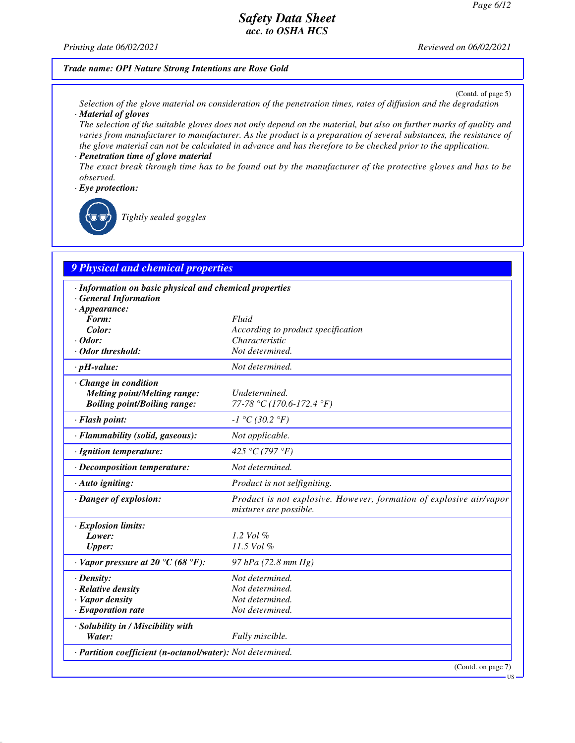*Printing date 06/02/2021 Reviewed on 06/02/2021*

#### *Trade name: OPI Nature Strong Intentions are Rose Gold*

(Contd. of page 5)

- *Selection of the glove material on consideration of the penetration times, rates of diffusion and the degradation · Material of gloves*
- *The selection of the suitable gloves does not only depend on the material, but also on further marks of quality and varies from manufacturer to manufacturer. As the product is a preparation of several substances, the resistance of the glove material can not be calculated in advance and has therefore to be checked prior to the application. · Penetration time of glove material*
- *The exact break through time has to be found out by the manufacturer of the protective gloves and has to be observed.*
- *· Eye protection:*

*Tightly sealed goggles*

## *9 Physical and chemical properties*

| · Information on basic physical and chemical properties    |                                                                                               |
|------------------------------------------------------------|-----------------------------------------------------------------------------------------------|
| · General Information                                      |                                                                                               |
| $\cdot$ Appearance:<br>Form:                               | Fluid                                                                                         |
| Color:                                                     | According to product specification                                                            |
| $\cdot$ Odor:                                              | Characteristic                                                                                |
| · Odor threshold:                                          | Not determined.                                                                               |
| $\cdot$ pH-value:                                          | Not determined.                                                                               |
| · Change in condition                                      |                                                                                               |
| <b>Melting point/Melting range:</b>                        | Undetermined.                                                                                 |
| <b>Boiling point/Boiling range:</b>                        | 77-78 °C (170.6-172.4 °F)                                                                     |
| · Flash point:                                             | $-I °C (30.2 °F)$                                                                             |
| · Flammability (solid, gaseous):                           | Not applicable.                                                                               |
| · Ignition temperature:                                    | 425 °C (797 °F)                                                                               |
| · Decomposition temperature:                               | Not determined.                                                                               |
| $\cdot$ Auto igniting:                                     | Product is not selfigniting.                                                                  |
| · Danger of explosion:                                     | Product is not explosive. However, formation of explosive air/vapor<br>mixtures are possible. |
| · Explosion limits:                                        |                                                                                               |
| Lower:                                                     | $1.2$ Vol $%$                                                                                 |
| <b>Upper:</b>                                              | 11.5 Vol %                                                                                    |
| $\cdot$ Vapor pressure at 20 °C (68 °F):                   | 97 hPa (72.8 mm Hg)                                                                           |
| $\cdot$ Density:                                           | Not determined.                                                                               |
| · Relative density                                         | Not determined.                                                                               |
| · Vapor density                                            | Not determined.                                                                               |
| $\cdot$ Evaporation rate                                   | Not determined.                                                                               |
| · Solubility in / Miscibility with                         |                                                                                               |
| Water:                                                     | Fully miscible.                                                                               |
| · Partition coefficient (n-octanol/water): Not determined. |                                                                                               |
|                                                            | (Contd. on page 7)<br>$US -$                                                                  |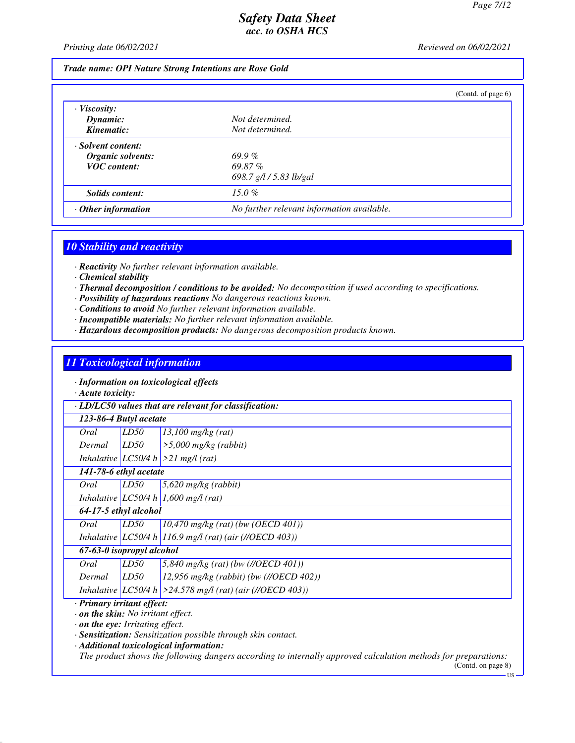*Printing date 06/02/2021 Reviewed on 06/02/2021*

#### *Trade name: OPI Nature Strong Intentions are Rose Gold*

|                           | (Contd. of page $6$ )                      |  |
|---------------------------|--------------------------------------------|--|
| $\cdot$ Viscosity:        |                                            |  |
| Dynamic:<br>Kinematic:    | Not determined.<br>Not determined.         |  |
| · Solvent content:        |                                            |  |
| Organic solvents:         | $69.9\%$                                   |  |
| <b>VOC</b> content:       | 69.87%                                     |  |
|                           | 698.7 g/l / 5.83 lb/gal                    |  |
| Solids content:           | $15.0\%$                                   |  |
| $\cdot$ Other information | No further relevant information available. |  |

### *10 Stability and reactivity*

*· Reactivity No further relevant information available.*

- *· Chemical stability*
- *· Thermal decomposition / conditions to be avoided: No decomposition if used according to specifications.*
- *· Possibility of hazardous reactions No dangerous reactions known.*
- *· Conditions to avoid No further relevant information available.*
- *· Incompatible materials: No further relevant information available.*
- *· Hazardous decomposition products: No dangerous decomposition products known.*

#### *11 Toxicological information*

*· Information on toxicological effects*

*· Acute toxicity:*

*· LD/LC50 values that are relevant for classification:*

| Oral   | LD50 | $13,100$ mg/kg (rat)                  |
|--------|------|---------------------------------------|
| Dermal | LD50 | $\frac{1}{5,000}$ mg/kg (rabbit)      |
|        |      | Inhalative $LC50/4 h$ > 21 mg/l (rat) |

*141-78-6 ethyl acetate*

*Oral LD50 5,620 mg/kg (rabbit)*

*Inhalative LC50/4 h 1,600 mg/l (rat)*

*64-17-5 ethyl alcohol*

*Oral LD50 10,470 mg/kg (rat) (bw (OECD 401)) Inhalative LC50/4 h 116.9 mg/l (rat) (air (//OECD 403))*

### *67-63-0 isopropyl alcohol*

| Oral   | LD50 | $5,840$ mg/kg (rat) (bw (//OECD 401))                          |
|--------|------|----------------------------------------------------------------|
| Dermal | LD50 | $12,956$ mg/kg (rabbit) (bw (//OECD 402))                      |
|        |      | Inhalative $ LC50/4 h  > 24.578$ mg/l (rat) (air (//OECD 403)) |

#### *· Primary irritant effect:*

*· on the skin: No irritant effect.*

*· on the eye: Irritating effect.*

*· Sensitization: Sensitization possible through skin contact.*

*· Additional toxicological information:*

*The product shows the following dangers according to internally approved calculation methods for preparations:*

(Contd. on page 8)

 $\overline{\text{US}}$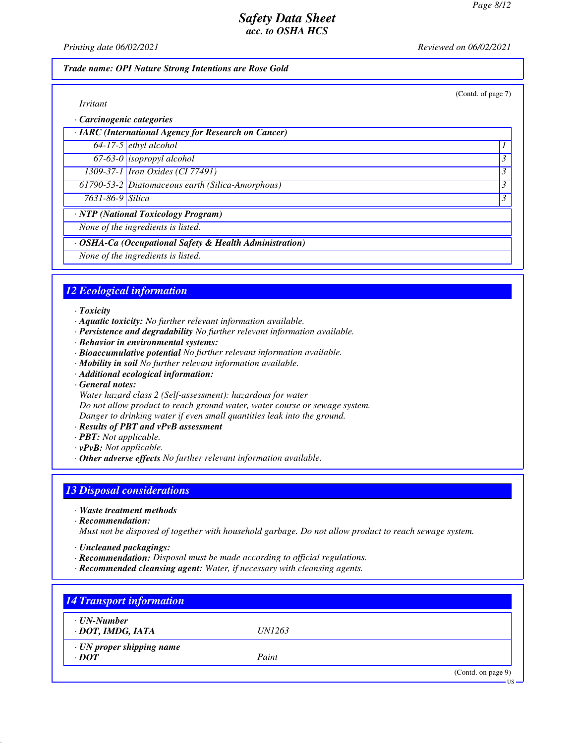(Contd. of page 7)

## *Safety Data Sheet acc. to OSHA HCS*

*Printing date 06/02/2021 Reviewed on 06/02/2021*

#### *Trade name: OPI Nature Strong Intentions are Rose Gold*

*· Carcinogenic categories*

| $\cdot$ IARC (International Agency for Research on Cancer) |  |
|------------------------------------------------------------|--|
| $64-17-5$ ethyl alcohol                                    |  |
| $67-63-0$ isopropyl alcohol                                |  |
| 1309-37-1 <i>Iron Oxides</i> (CI 77491)                    |  |
| 61790-53-2 Diatomaceous earth (Silica-Amorphous)           |  |

*7631-86-9 Silica 3* 

*· NTP (National Toxicology Program)*

*None of the ingredients is listed.*

*· OSHA-Ca (Occupational Safety & Health Administration)*

*None of the ingredients is listed.*

## *12 Ecological information*

#### *· Toxicity*

- *· Aquatic toxicity: No further relevant information available.*
- *· Persistence and degradability No further relevant information available.*
- *· Behavior in environmental systems:*
- *· Bioaccumulative potential No further relevant information available.*
- *· Mobility in soil No further relevant information available.*
- *· Additional ecological information:*
- *· General notes:*

*Water hazard class 2 (Self-assessment): hazardous for water*

*Do not allow product to reach ground water, water course or sewage system.*

*Danger to drinking water if even small quantities leak into the ground.*

- *· Results of PBT and vPvB assessment*
- *· PBT: Not applicable.*
- *· vPvB: Not applicable.*
- *· Other adverse effects No further relevant information available.*

## *13 Disposal considerations*

- *· Waste treatment methods*
- *· Recommendation:*

*Must not be disposed of together with household garbage. Do not allow product to reach sewage system.*

- *· Uncleaned packagings:*
- *· Recommendation: Disposal must be made according to official regulations.*
- *· Recommended cleansing agent: Water, if necessary with cleansing agents.*

| $\cdot$ UN-Number               |               |  |
|---------------------------------|---------------|--|
| · DOT, IMDG, IATA               | <i>UN1263</i> |  |
| $\cdot$ UN proper shipping name |               |  |
| $\cdot$ <i>DOT</i>              | Paint         |  |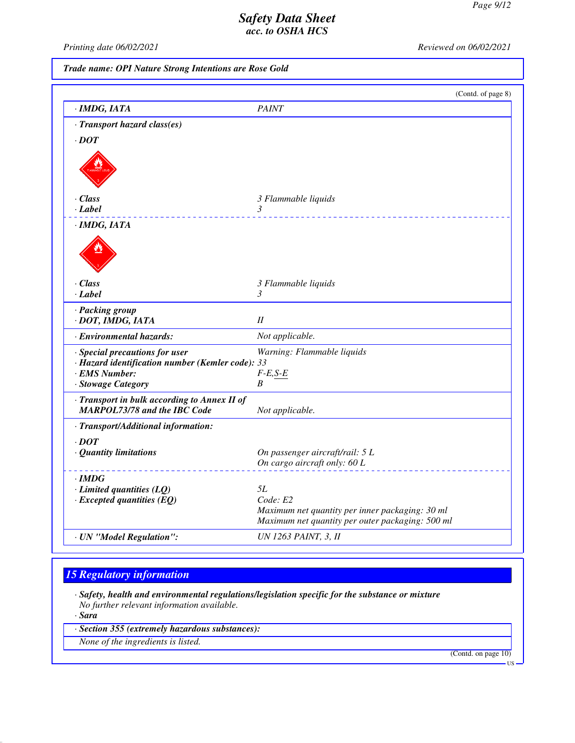*Printing date 06/02/2021 Reviewed on 06/02/2021*

*Trade name: OPI Nature Strong Intentions are Rose Gold*

|                                                  | (Contd. of page 8)                               |
|--------------------------------------------------|--------------------------------------------------|
| · IMDG, IATA                                     | <b>PAINT</b>                                     |
| · Transport hazard class(es)                     |                                                  |
| $\cdot$ <i>DOT</i>                               |                                                  |
|                                                  |                                                  |
| $\cdot$ Class                                    | 3 Flammable liquids                              |
| · Label                                          | 3                                                |
| $\cdot$ IMDG, IATA                               |                                                  |
|                                                  |                                                  |
| $\cdot$ Class                                    | 3 Flammable liquids                              |
| · Label                                          | 3                                                |
| · Packing group<br>· DOT, IMDG, IATA             | II                                               |
| · Environmental hazards:                         | Not applicable.                                  |
| · Special precautions for user                   | Warning: Flammable liquids                       |
| · Hazard identification number (Kemler code): 33 |                                                  |
| · EMS Number:                                    | $F-E,S-E$                                        |
| · Stowage Category                               | B                                                |
| Transport in bulk according to Annex II of       |                                                  |
| <b>MARPOL73/78 and the IBC Code</b>              | Not applicable.                                  |
| · Transport/Additional information:              |                                                  |
| $\cdot$ DOT                                      |                                                  |
| · Quantity limitations                           | On passenger aircraft/rail: 5 L                  |
|                                                  | On cargo aircraft only: 60 L                     |
| $\cdot$ IMDG                                     |                                                  |
| $\cdot$ Limited quantities (LQ)                  | <i>5L</i>                                        |
| $\cdot$ Excepted quantities (EQ)                 | Code: E2                                         |
|                                                  | Maximum net quantity per inner packaging: 30 ml  |
|                                                  | Maximum net quantity per outer packaging: 500 ml |
| · UN "Model Regulation":                         | <b>UN 1263 PAINT, 3, II</b>                      |

# *15 Regulatory information*

*· Safety, health and environmental regulations/legislation specific for the substance or mixture No further relevant information available.*

*· Sara*

*· Section 355 (extremely hazardous substances):*

*None of the ingredients is listed.*

(Contd. on page 10)

US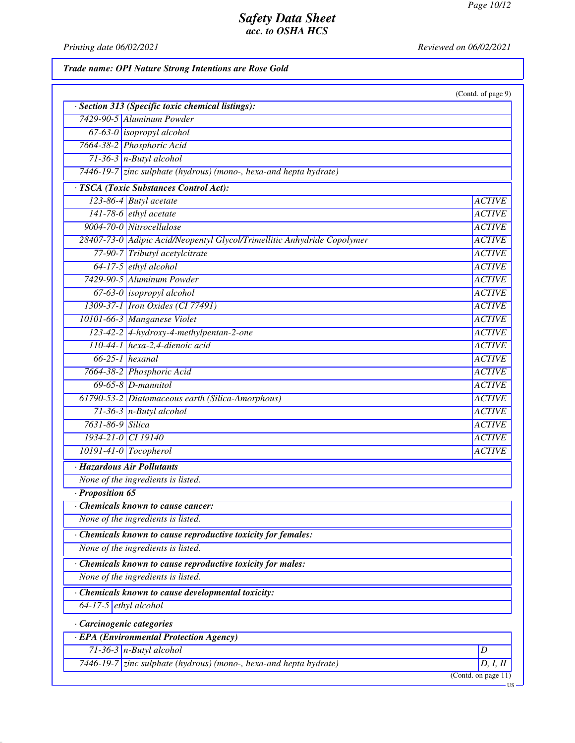*Printing date 06/02/2021 Reviewed on 06/02/2021*

*Trade name: OPI Nature Strong Intentions are Rose Gold*

|                                                                         | (Contd. of page 9)  |
|-------------------------------------------------------------------------|---------------------|
| · Section 313 (Specific toxic chemical listings):                       |                     |
| 7429-90-5 Aluminum Powder                                               |                     |
| $67-63-0$ isopropyl alcohol                                             |                     |
| 7664-38-2 Phosphoric Acid                                               |                     |
| $71-36-3$ n-Butyl alcohol                                               |                     |
| $7446-19-7$ zinc sulphate (hydrous) (mono-, hexa-and hepta hydrate)     |                     |
| · TSCA (Toxic Substances Control Act):                                  |                     |
| 123-86-4 Butyl acetate                                                  | <b>ACTIVE</b>       |
| $141-78-6$ <i>ethyl acetate</i>                                         | <b>ACTIVE</b>       |
| 9004-70-0 Nitrocellulose                                                | <b>ACTIVE</b>       |
| 28407-73-0 Adipic Acid/Neopentyl Glycol/Trimellitic Anhydride Copolymer | <b>ACTIVE</b>       |
| 77-90-7 Tributyl acetylcitrate                                          | <b>ACTIVE</b>       |
| 64-17-5 ethyl alcohol                                                   | <b>ACTIVE</b>       |
| 7429-90-5 Aluminum Powder                                               | <b>ACTIVE</b>       |
| $67-63-0$ isopropyl alcohol                                             | <b>ACTIVE</b>       |
| 1309-37-1 Iron Oxides (CI 77491)                                        | <b>ACTIVE</b>       |
| 10101-66-3 Manganese Violet                                             | <b>ACTIVE</b>       |
| 123-42-2 4-hydroxy-4-methylpentan-2-one                                 | <b>ACTIVE</b>       |
| 110-44-1 hexa-2,4-dienoic acid                                          | <b>ACTIVE</b>       |
| $66-25-1$ hexanal                                                       | <b>ACTIVE</b>       |
| 7664-38-2 Phosphoric Acid                                               | <b>ACTIVE</b>       |
| $69-65-8$ <i>D</i> -mannitol                                            | <b>ACTIVE</b>       |
| 61790-53-2 Diatomaceous earth (Silica-Amorphous)                        | <b>ACTIVE</b>       |
| $71-36-3$ n-Butyl alcohol                                               | <b>ACTIVE</b>       |
| 7631-86-9 Silica                                                        | <b>ACTIVE</b>       |
| 1934-21-0 CI 19140                                                      | <b>ACTIVE</b>       |
| 10191-41-0 Tocopherol                                                   | <b>ACTIVE</b>       |
| · Hazardous Air Pollutants                                              |                     |
| None of the ingredients is listed.                                      |                     |
| Proposition 65                                                          |                     |
| Chemicals known to cause cancer:                                        |                     |
| None of the ingredients is listed.                                      |                     |
| Chemicals known to cause reproductive toxicity for females:             |                     |
| None of the ingredients is listed.                                      |                     |
| · Chemicals known to cause reproductive toxicity for males:             |                     |
| None of the ingredients is listed.                                      |                     |
| Chemicals known to cause developmental toxicity:                        |                     |
| $64-17-5$ ethyl alcohol                                                 |                     |
| Carcinogenic categories                                                 |                     |
| · EPA (Environmental Protection Agency)                                 |                     |
| $71-36-3$ n-Butyl alcohol                                               | D                   |
|                                                                         | D, I, II            |
| 7446-19-7 zinc sulphate (hydrous) (mono-, hexa-and hepta hydrate)       | (Contd. on page 11) |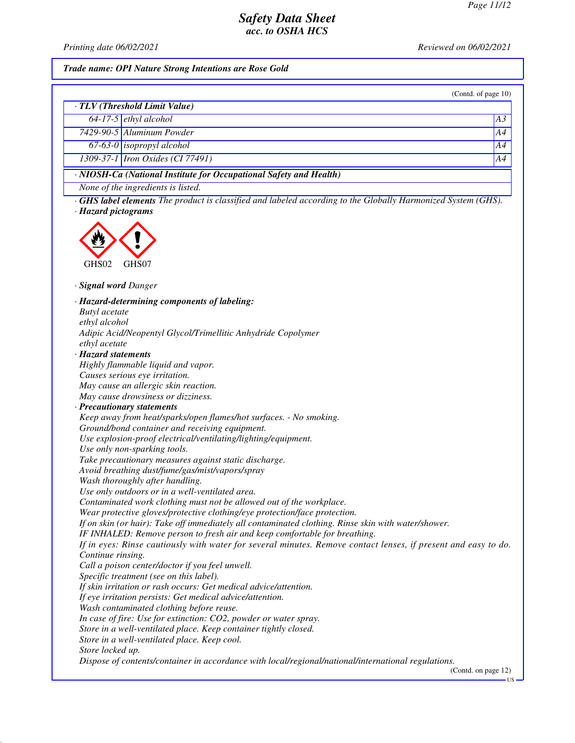*Printing date 06/02/2021 Reviewed on 06/02/2021*

*Trade name: OPI Nature Strong Intentions are Rose Gold*

(Contd. of page 10)

|                                                                          | · TLV (Threshold Limit Value)    |                |
|--------------------------------------------------------------------------|----------------------------------|----------------|
|                                                                          | $64-17-5$ ethyl alcohol          | A <sub>3</sub> |
|                                                                          | 7429-90-5 Aluminum Powder        | A4             |
|                                                                          | 67-63-0 <i>isopropyl alcohol</i> | AA             |
|                                                                          | 1309-37-1 Iron Oxides (CI 77491) | A4             |
| $\cdot$ NIOSH-Ca (National Institute for Occupational Safety and Health) |                                  |                |

*None of the ingredients is listed.*

*· GHS label elements The product is classified and labeled according to the Globally Harmonized System (GHS). · Hazard pictograms*



*· Signal word Danger*

*· Hazard-determining components of labeling: Butyl acetate ethyl alcohol Adipic Acid/Neopentyl Glycol/Trimellitic Anhydride Copolymer ethyl acetate · Hazard statements Highly flammable liquid and vapor. Causes serious eye irritation. May cause an allergic skin reaction. May cause drowsiness or dizziness. · Precautionary statements Keep away from heat/sparks/open flames/hot surfaces. - No smoking. Ground/bond container and receiving equipment. Use explosion-proof electrical/ventilating/lighting/equipment. Use only non-sparking tools. Take precautionary measures against static discharge. Avoid breathing dust/fume/gas/mist/vapors/spray Wash thoroughly after handling. Use only outdoors or in a well-ventilated area. Contaminated work clothing must not be allowed out of the workplace. Wear protective gloves/protective clothing/eye protection/face protection. If on skin (or hair): Take off immediately all contaminated clothing. Rinse skin with water/shower. IF INHALED: Remove person to fresh air and keep comfortable for breathing. If in eyes: Rinse cautiously with water for several minutes. Remove contact lenses, if present and easy to do. Continue rinsing. Call a poison center/doctor if you feel unwell. Specific treatment (see on this label). If skin irritation or rash occurs: Get medical advice/attention. If eye irritation persists: Get medical advice/attention. Wash contaminated clothing before reuse. In case of fire: Use for extinction: CO2, powder or water spray. Store in a well-ventilated place. Keep container tightly closed. Store in a well-ventilated place. Keep cool. Store locked up. Dispose of contents/container in accordance with local/regional/national/international regulations.* (Contd. on page 12)

US